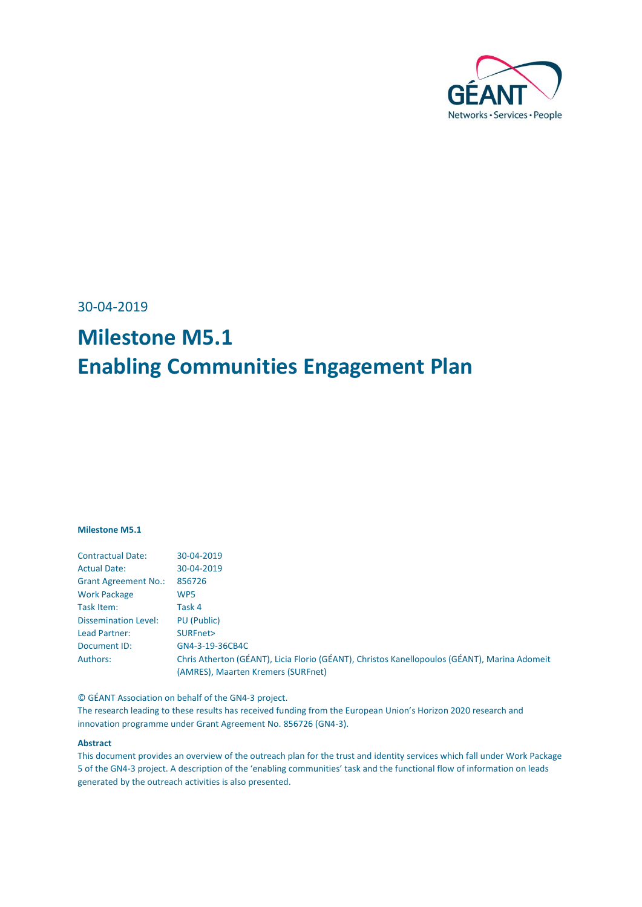

30-04-2019

# **Milestone M5.1 Enabling Communities Engagement Plan**

#### **Milestone M5.1**

| <b>Contractual Date:</b>    | 30-04-2019                                                                                   |
|-----------------------------|----------------------------------------------------------------------------------------------|
| <b>Actual Date:</b>         | 30-04-2019                                                                                   |
| <b>Grant Agreement No.:</b> | 856726                                                                                       |
| <b>Work Package</b>         | WP <sub>5</sub>                                                                              |
| Task Item:                  | Task 4                                                                                       |
| <b>Dissemination Level:</b> | PU (Public)                                                                                  |
| Lead Partner:               | SURFnet>                                                                                     |
| Document ID:                | GN4-3-19-36CB4C                                                                              |
| Authors:                    | Chris Atherton (GÉANT), Licia Florio (GÉANT), Christos Kanellopoulos (GÉANT), Marina Adomeit |
|                             | (AMRES), Maarten Kremers (SURFnet)                                                           |

© GÉANT Association on behalf of the GN4-3 project.

The research leading to these results has received funding from the European Union's Horizon 2020 research and innovation programme under Grant Agreement No. 856726 (GN4-3).

#### **Abstract**

This document provides an overview of the outreach plan for the trust and identity services which fall under Work Package 5 of the GN4-3 project. A description of the 'enabling communities' task and the functional flow of information on leads generated by the outreach activities is also presented.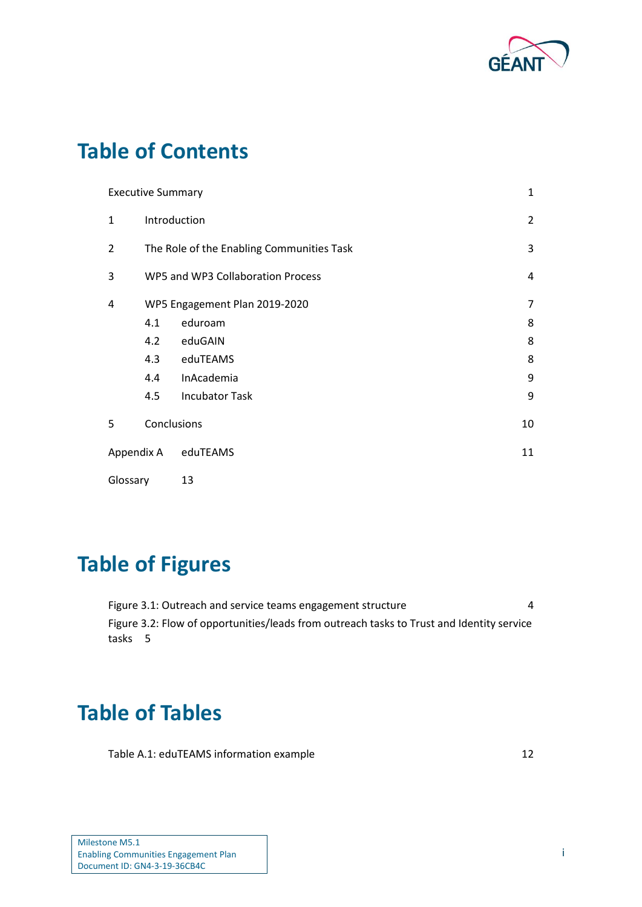

# **Table of Contents**

|                |                                           | <b>Executive Summary</b> | $\mathbf 1$ |
|----------------|-------------------------------------------|--------------------------|-------------|
| $\mathbf{1}$   | Introduction                              |                          |             |
| $\overline{2}$ | The Role of the Enabling Communities Task |                          | 3           |
| 3              | WP5 and WP3 Collaboration Process         |                          | 4           |
| 4              | WP5 Engagement Plan 2019-2020             |                          | 7           |
|                | 4.1                                       | eduroam                  | 8           |
|                | 4.2                                       | eduGAIN                  | 8           |
|                | 4.3                                       | eduTEAMS                 | 8           |
|                | 4.4                                       | InAcademia               | 9           |
|                | 4.5                                       | <b>Incubator Task</b>    | 9           |
| 5              |                                           | Conclusions<br>10        |             |
|                | Appendix A                                | eduTEAMS                 | 11          |
| Glossary       |                                           | 13                       |             |

## **Table of Figures**

[Figure 3.1: Outreach and service teams engagement structure](#page-5-1) 4 [Figure 3.2: Flow of opportunities/leads from outreach tasks to Trust and Identity service](#page-6-0)  [tasks](#page-6-0) 5

## **Table of Tables**

[Table A.1: eduTEAMS information example](#page-13-0) 12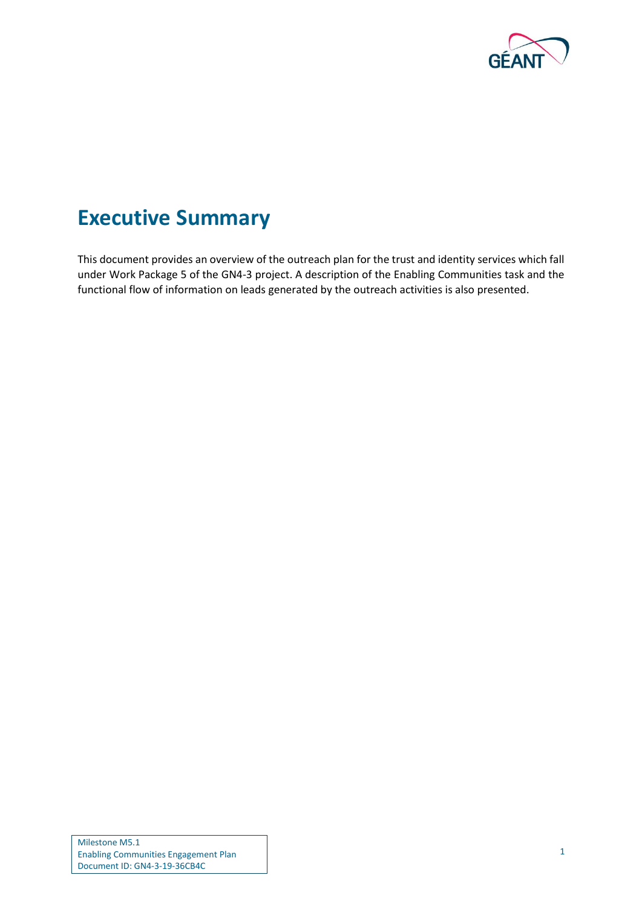

## <span id="page-2-0"></span>**Executive Summary**

This document provides an overview of the outreach plan for the trust and identity services which fall under Work Package 5 of the GN4-3 project. A description of the Enabling Communities task and the functional flow of information on leads generated by the outreach activities is also presented.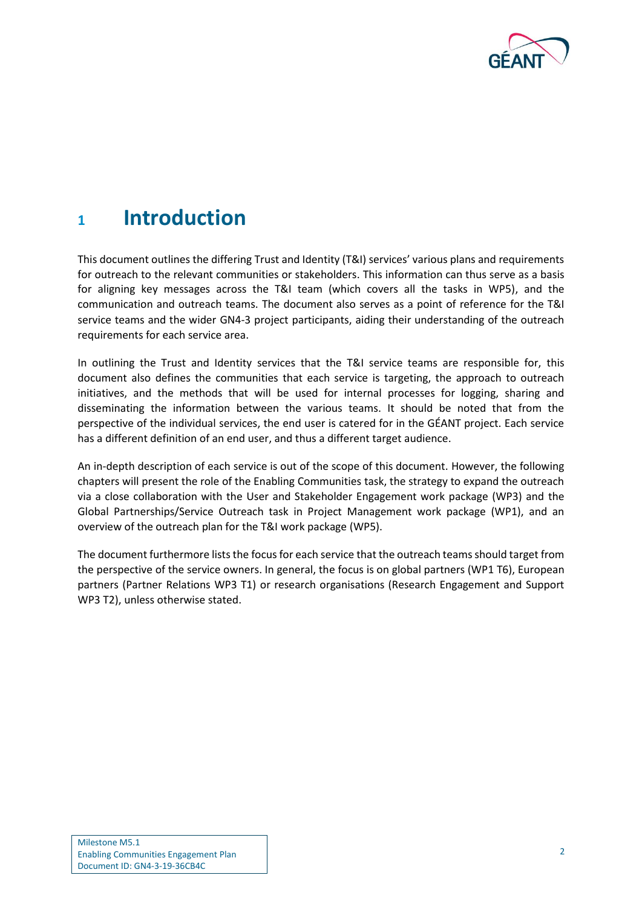

### <span id="page-3-0"></span>**<sup>1</sup> Introduction**

This document outlines the differing Trust and Identity (T&I) services' various plans and requirements for outreach to the relevant communities or stakeholders. This information can thus serve as a basis for aligning key messages across the T&I team (which covers all the tasks in WP5), and the communication and outreach teams. The document also serves as a point of reference for the T&I service teams and the wider GN4-3 project participants, aiding their understanding of the outreach requirements for each service area.

In outlining the Trust and Identity services that the T&I service teams are responsible for, this document also defines the communities that each service is targeting, the approach to outreach initiatives, and the methods that will be used for internal processes for logging, sharing and disseminating the information between the various teams. It should be noted that from the perspective of the individual services, the end user is catered for in the GÉANT project. Each service has a different definition of an end user, and thus a different target audience.

An in-depth description of each service is out of the scope of this document. However, the following chapters will present the role of the Enabling Communities task, the strategy to expand the outreach via a close collaboration with the User and Stakeholder Engagement work package (WP3) and the Global Partnerships/Service Outreach task in Project Management work package (WP1), and an overview of the outreach plan for the T&I work package (WP5).

The document furthermore lists the focus for each service that the outreach teams should target from the perspective of the service owners. In general, the focus is on global partners (WP1 T6), European partners (Partner Relations WP3 T1) or research organisations (Research Engagement and Support WP3 T2), unless otherwise stated.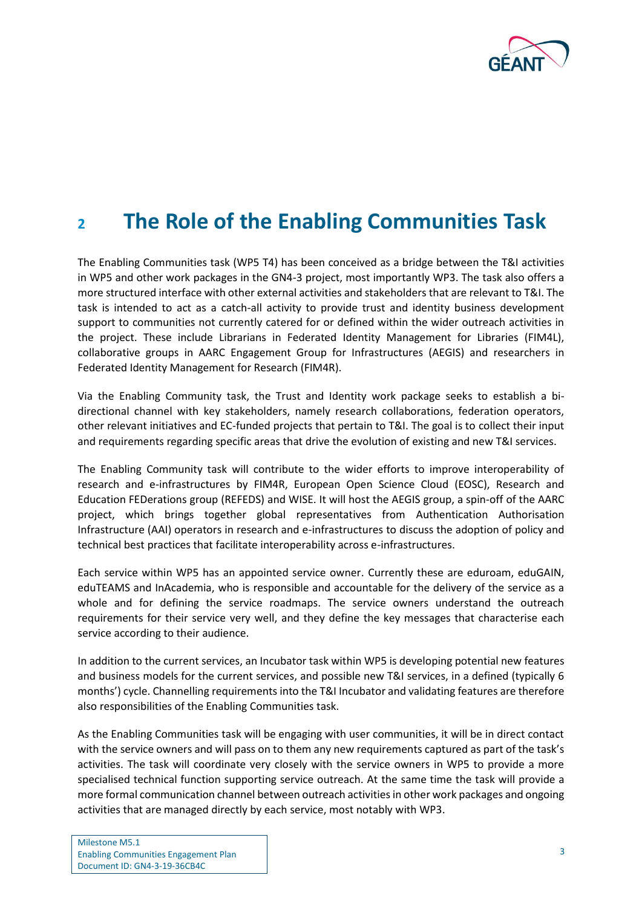

# <span id="page-4-0"></span>**<sup>2</sup> The Role of the Enabling Communities Task**

The Enabling Communities task (WP5 T4) has been conceived as a bridge between the T&I activities in WP5 and other work packages in the GN4-3 project, most importantly WP3. The task also offers a more structured interface with other external activities and stakeholders that are relevant to T&I. The task is intended to act as a catch-all activity to provide trust and identity business development support to communities not currently catered for or defined within the wider outreach activities in the project. These include Librarians in Federated Identity Management for Libraries (FIM4L), collaborative groups in AARC Engagement Group for Infrastructures (AEGIS) and researchers in Federated Identity Management for Research (FIM4R).

Via the Enabling Community task, the Trust and Identity work package seeks to establish a bidirectional channel with key stakeholders, namely research collaborations, federation operators, other relevant initiatives and EC-funded projects that pertain to T&I. The goal is to collect their input and requirements regarding specific areas that drive the evolution of existing and new T&I services.

The Enabling Community task will contribute to the wider efforts to improve interoperability of research and e-infrastructures by FIM4R, European Open Science Cloud (EOSC), Research and Education FEDerations group (REFEDS) and WISE. It will host the AEGIS group, a spin-off of the AARC project, which brings together global representatives from Authentication Authorisation Infrastructure (AAI) operators in research and e-infrastructures to discuss the adoption of policy and technical best practices that facilitate interoperability across e-infrastructures.

Each service within WP5 has an appointed service owner. Currently these are eduroam, eduGAIN, eduTEAMS and InAcademia, who is responsible and accountable for the delivery of the service as a whole and for defining the service roadmaps. The service owners understand the outreach requirements for their service very well, and they define the key messages that characterise each service according to their audience.

In addition to the current services, an Incubator task within WP5 is developing potential new features and business models for the current services, and possible new T&I services, in a defined (typically 6 months') cycle. Channelling requirements into the T&I Incubator and validating features are therefore also responsibilities of the Enabling Communities task.

As the Enabling Communities task will be engaging with user communities, it will be in direct contact with the service owners and will pass on to them any new requirements captured as part of the task's activities. The task will coordinate very closely with the service owners in WP5 to provide a more specialised technical function supporting service outreach. At the same time the task will provide a more formal communication channel between outreach activities in other work packages and ongoing activities that are managed directly by each service, most notably with WP3.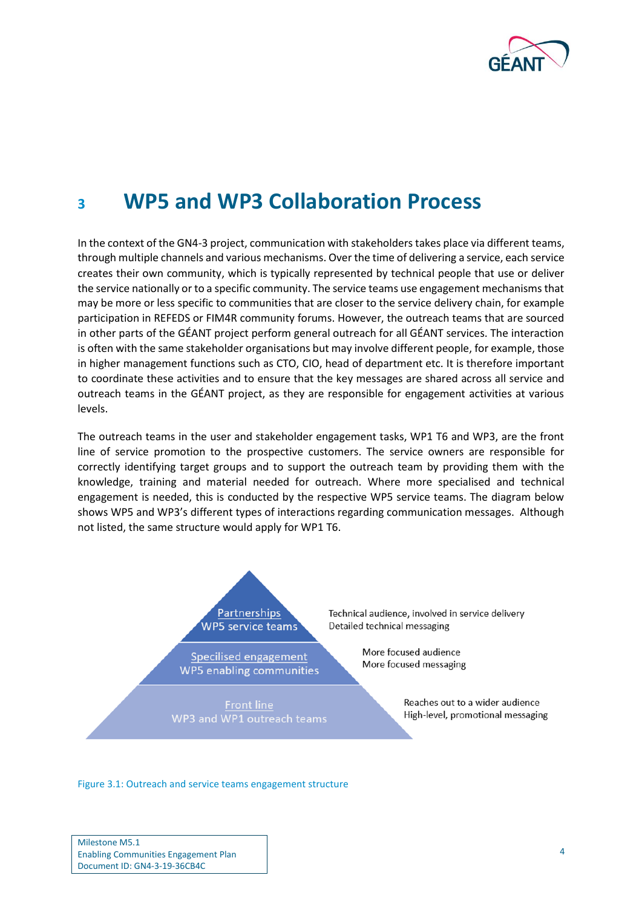

### <span id="page-5-0"></span>**<sup>3</sup> WP5 and WP3 Collaboration Process**

In the context of the GN4-3 project, communication with stakeholders takes place via different teams, through multiple channels and various mechanisms. Over the time of delivering a service, each service creates their own community, which is typically represented by technical people that use or deliver the service nationally or to a specific community. The service teams use engagement mechanisms that may be more or less specific to communities that are closer to the service delivery chain, for example participation in REFEDS or FIM4R community forums. However, the outreach teams that are sourced in other parts of the GÉANT project perform general outreach for all GÉANT services. The interaction is often with the same stakeholder organisations but may involve different people, for example, those in higher management functions such as CTO, CIO, head of department etc. It is therefore important to coordinate these activities and to ensure that the key messages are shared across all service and outreach teams in the GÉANT project, as they are responsible for engagement activities at various levels.

The outreach teams in the user and stakeholder engagement tasks, WP1 T6 and WP3, are the front line of service promotion to the prospective customers. The service owners are responsible for correctly identifying target groups and to support the outreach team by providing them with the knowledge, training and material needed for outreach. Where more specialised and technical engagement is needed, this is conducted by the respective WP5 service teams. The diagram below shows WP5 and WP3's different types of interactions regarding communication messages. Although not listed, the same structure would apply for WP1 T6.



#### <span id="page-5-1"></span>Figure 3.1: Outreach and service teams engagement structure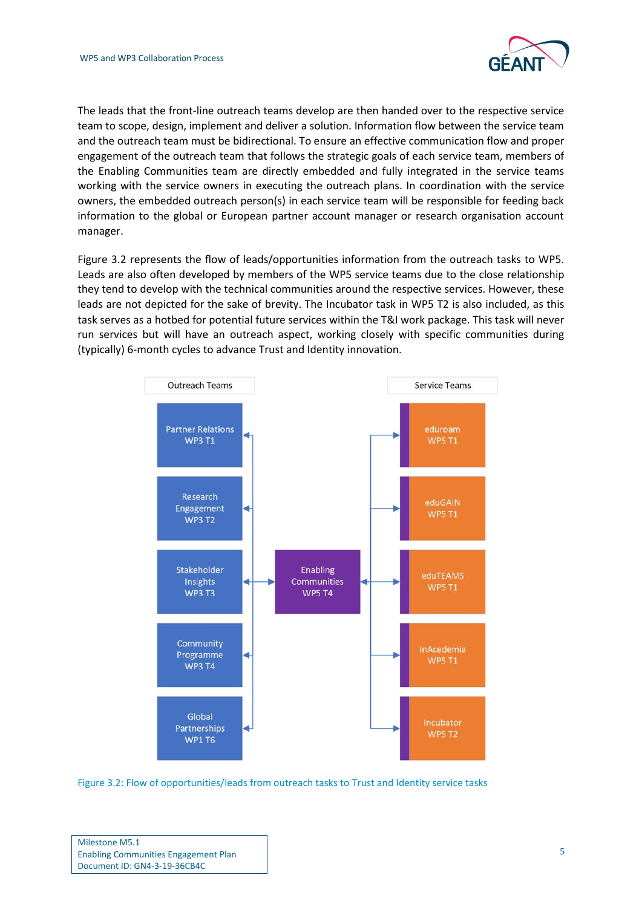

The leads that the front-line outreach teams develop are then handed over to the respective service team to scope, design, implement and deliver a solution. Information flow between the service team and the outreach team must be bidirectional. To ensure an effective communication flow and proper engagement of the outreach team that follows the strategic goals of each service team, members of the Enabling Communities team are directly embedded and fully integrated in the service teams working with the service owners in executing the outreach plans. In coordination with the service owners, the embedded outreach person(s) in each service team will be responsible for feeding back information to the global or European partner account manager or research organisation account manager.

[Figure 3.2](#page-6-0) represents the flow of leads/opportunities information from the outreach tasks to WP5. Leads are also often developed by members of the WP5 service teams due to the close relationship they tend to develop with the technical communities around the respective services. However, these leads are not depicted for the sake of brevity. The Incubator task in WP5 T2 is also included, as this task serves as a hotbed for potential future services within the T&I work package. This task will never run services but will have an outreach aspect, working closely with specific communities during (typically) 6-month cycles to advance Trust and Identity innovation.



<span id="page-6-0"></span>Figure 3.2: Flow of opportunities/leads from outreach tasks to Trust and Identity service tasks

Milestone M5.1 Enabling Communities Engagement Plan Document ID: GN4-3-19-36CB4C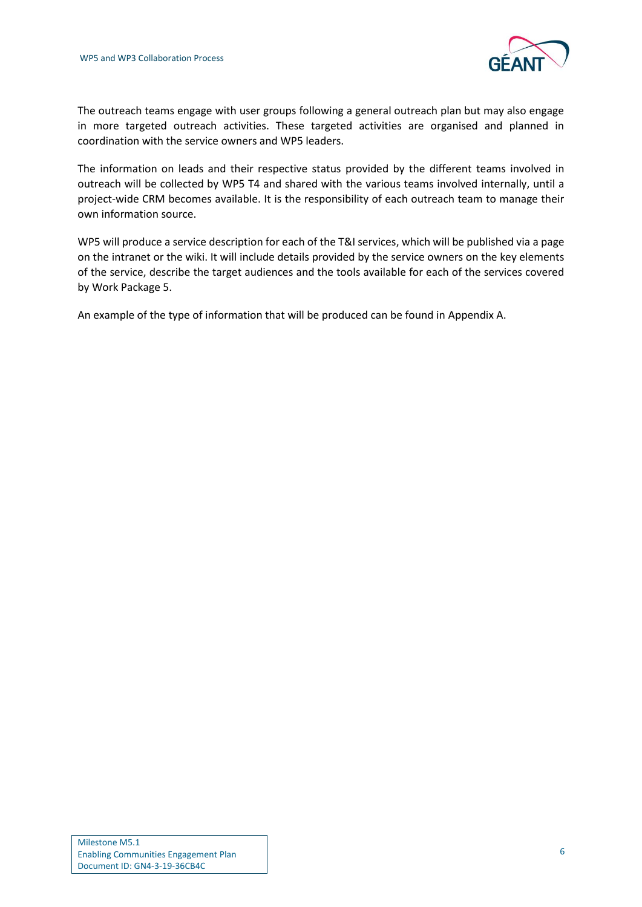

The outreach teams engage with user groups following a general outreach plan but may also engage in more targeted outreach activities. These targeted activities are organised and planned in coordination with the service owners and WP5 leaders.

The information on leads and their respective status provided by the different teams involved in outreach will be collected by WP5 T4 and shared with the various teams involved internally, until a project-wide CRM becomes available. It is the responsibility of each outreach team to manage their own information source.

WP5 will produce a service description for each of the T&I services, which will be published via a page on the intranet or the wiki. It will include details provided by the service owners on the key elements of the service, describe the target audiences and the tools available for each of the services covered by Work Package 5.

An example of the type of information that will be produced can be found in Appendix A.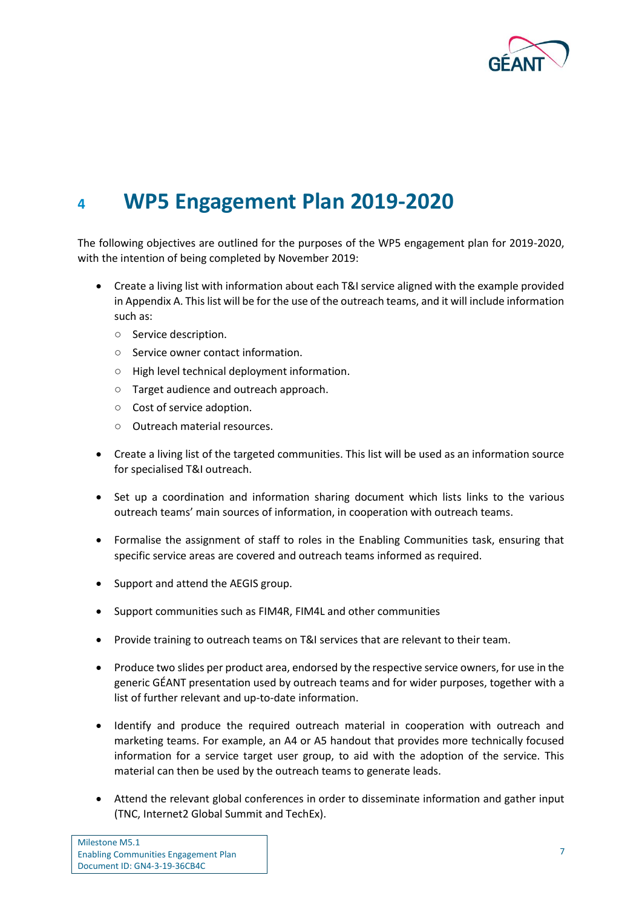

## <span id="page-8-0"></span>**<sup>4</sup> WP5 Engagement Plan 2019-2020**

The following objectives are outlined for the purposes of the WP5 engagement plan for 2019-2020, with the intention of being completed by November 2019:

- Create a living list with information about each T&I service aligned with the example provided in Appendix A. This list will be for the use of the outreach teams, and it will include information such as:
	- Service description.
	- Service owner contact information.
	- High level technical deployment information.
	- Target audience and outreach approach.
	- Cost of service adoption.
	- Outreach material resources.
- Create a living list of the targeted communities. This list will be used as an information source for specialised T&I outreach.
- Set up a coordination and information sharing document which lists links to the various outreach teams' main sources of information, in cooperation with outreach teams.
- Formalise the assignment of staff to roles in the Enabling Communities task, ensuring that specific service areas are covered and outreach teams informed as required.
- Support and attend the AEGIS group.
- Support communities such as FIM4R, FIM4L and other communities
- Provide training to outreach teams on T&I services that are relevant to their team.
- Produce two slides per product area, endorsed by the respective service owners, for use in the generic GÉANT presentation used by outreach teams and for wider purposes, together with a list of further relevant and up-to-date information.
- Identify and produce the required outreach material in cooperation with outreach and marketing teams. For example, an A4 or A5 handout that provides more technically focused information for a service target user group, to aid with the adoption of the service. This material can then be used by the outreach teams to generate leads.
- Attend the relevant global conferences in order to disseminate information and gather input (TNC, Internet2 Global Summit and TechEx).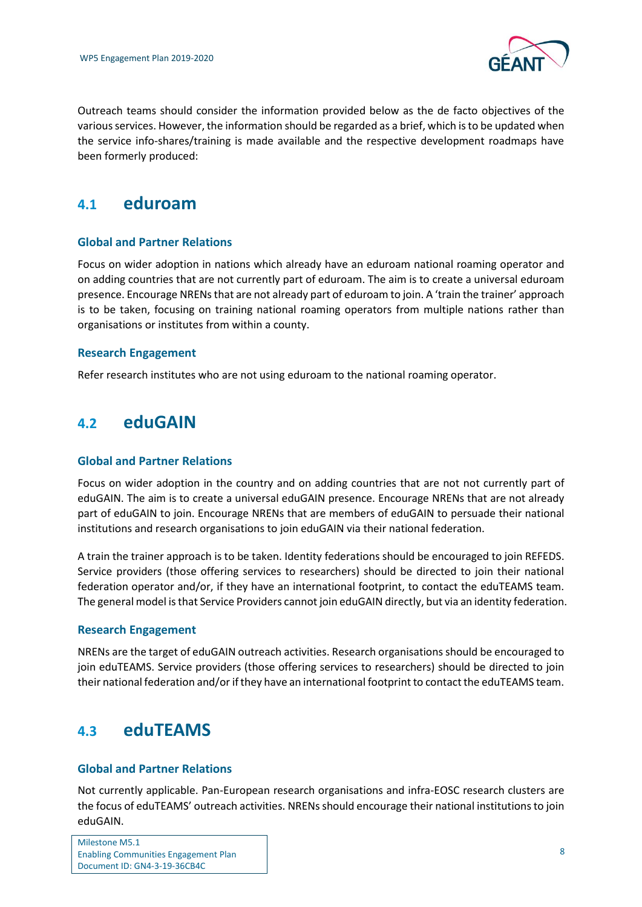

Outreach teams should consider the information provided below as the de facto objectives of the various services. However, the information should be regarded as a brief, which is to be updated when the service info-shares/training is made available and the respective development roadmaps have been formerly produced:

### <span id="page-9-0"></span>**4.1 eduroam**

#### **Global and Partner Relations**

Focus on wider adoption in nations which already have an eduroam national roaming operator and on adding countries that are not currently part of eduroam. The aim is to create a universal eduroam presence. Encourage NRENs that are not already part of eduroam to join. A 'train the trainer' approach is to be taken, focusing on training national roaming operators from multiple nations rather than organisations or institutes from within a county.

#### **Research Engagement**

Refer research institutes who are not using eduroam to the national roaming operator.

### <span id="page-9-1"></span>**4.2 eduGAIN**

#### **Global and Partner Relations**

Focus on wider adoption in the country and on adding countries that are not not currently part of eduGAIN. The aim is to create a universal eduGAIN presence. Encourage NRENs that are not already part of eduGAIN to join. Encourage NRENs that are members of eduGAIN to persuade their national institutions and research organisations to join eduGAIN via their national federation.

A train the trainer approach is to be taken. Identity federations should be encouraged to join REFEDS. Service providers (those offering services to researchers) should be directed to join their national federation operator and/or, if they have an international footprint, to contact the eduTEAMS team. The general model is that Service Providers cannot join eduGAIN directly, but via an identity federation.

#### **Research Engagement**

NRENs are the target of eduGAIN outreach activities. Research organisations should be encouraged to join eduTEAMS. Service providers (those offering services to researchers) should be directed to join their national federation and/or if they have an international footprint to contact the eduTEAMS team.

### <span id="page-9-2"></span>**4.3 eduTEAMS**

#### **Global and Partner Relations**

Not currently applicable. Pan-European research organisations and infra-EOSC research clusters are the focus of eduTEAMS' outreach activities. NRENs should encourage their national institutions to join eduGAIN.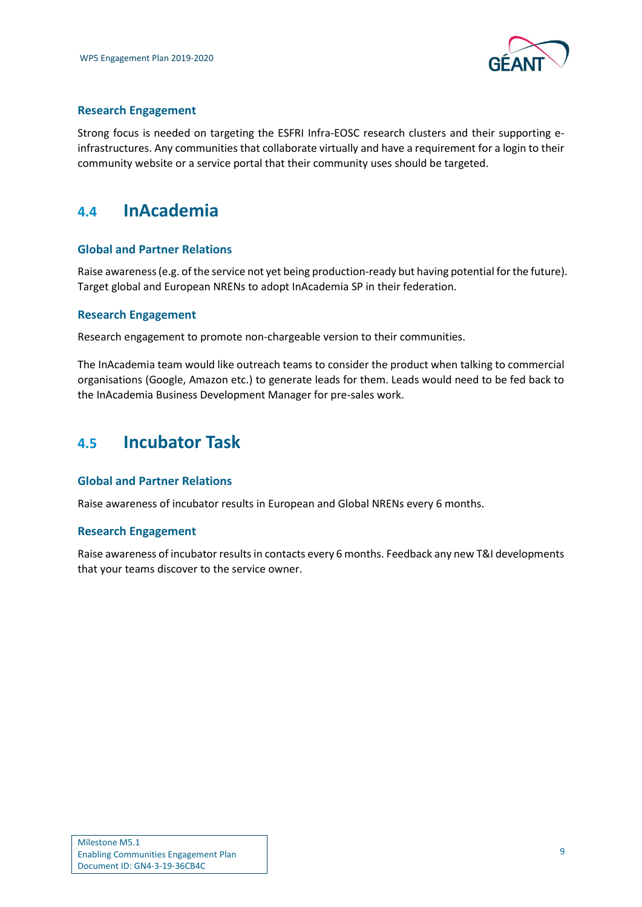

#### **Research Engagement**

Strong focus is needed on targeting the ESFRI Infra-EOSC research clusters and their supporting einfrastructures. Any communities that collaborate virtually and have a requirement for a login to their community website or a service portal that their community uses should be targeted.

### <span id="page-10-0"></span>**4.4 InAcademia**

#### **Global and Partner Relations**

Raise awareness (e.g. of the service not yet being production-ready but having potential for the future). Target global and European NRENs to adopt InAcademia SP in their federation.

#### **Research Engagement**

Research engagement to promote non-chargeable version to their communities.

The InAcademia team would like outreach teams to consider the product when talking to commercial organisations (Google, Amazon etc.) to generate leads for them. Leads would need to be fed back to the InAcademia Business Development Manager for pre-sales work.

### <span id="page-10-1"></span>**4.5 Incubator Task**

#### **Global and Partner Relations**

Raise awareness of incubator results in European and Global NRENs every 6 months.

#### **Research Engagement**

Raise awareness of incubator results in contacts every 6 months. Feedback any new T&I developments that your teams discover to the service owner.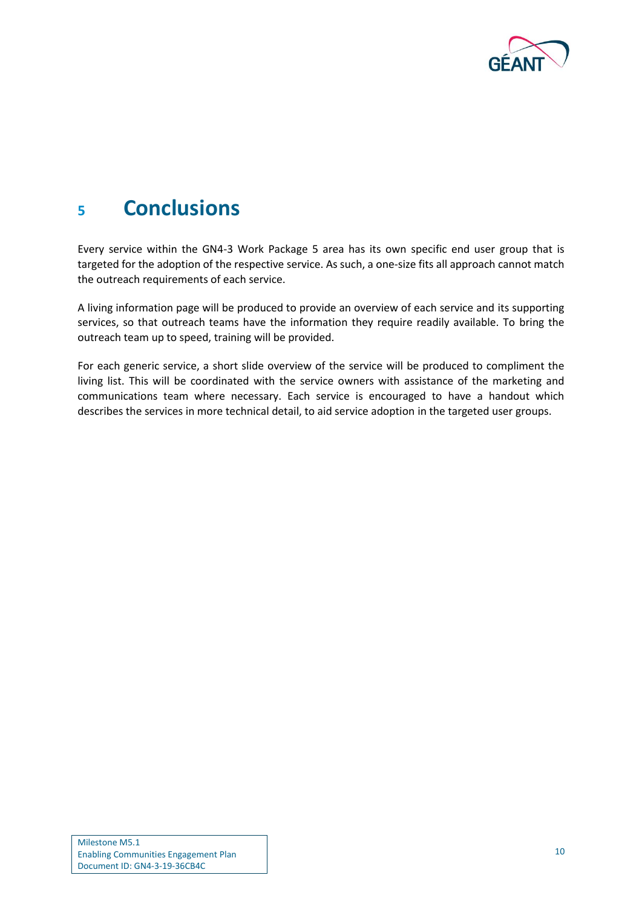

## <span id="page-11-0"></span>**<sup>5</sup> Conclusions**

Every service within the GN4-3 Work Package 5 area has its own specific end user group that is targeted for the adoption of the respective service. As such, a one-size fits all approach cannot match the outreach requirements of each service.

A living information page will be produced to provide an overview of each service and its supporting services, so that outreach teams have the information they require readily available. To bring the outreach team up to speed, training will be provided.

For each generic service, a short slide overview of the service will be produced to compliment the living list. This will be coordinated with the service owners with assistance of the marketing and communications team where necessary. Each service is encouraged to have a handout which describes the services in more technical detail, to aid service adoption in the targeted user groups.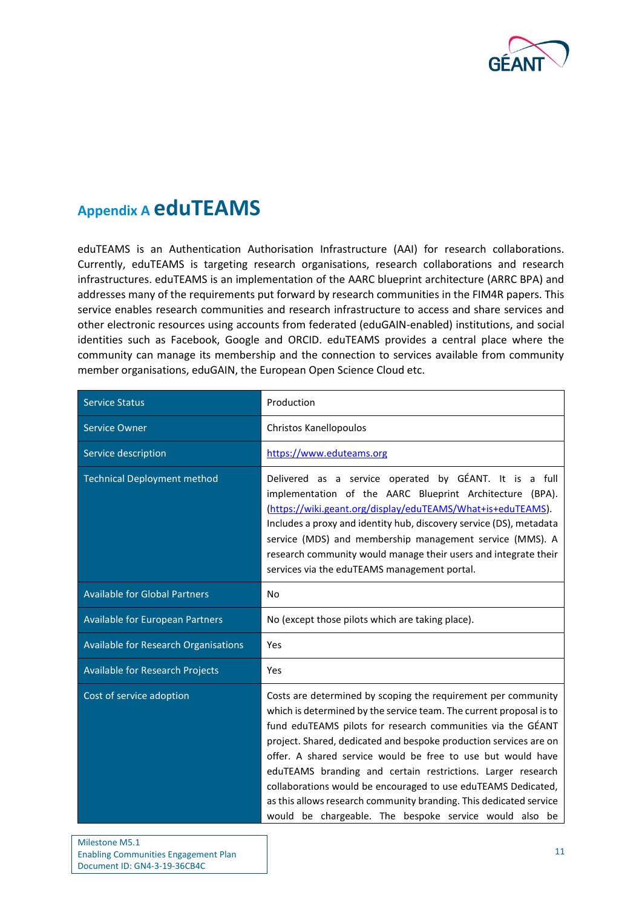

### <span id="page-12-0"></span>**Appendix A eduTEAMS**

eduTEAMS is an Authentication Authorisation Infrastructure (AAI) for research collaborations. Currently, eduTEAMS is targeting research organisations, research collaborations and research infrastructures. eduTEAMS is an implementation of the AARC blueprint architecture (ARRC BPA) and addresses many of the requirements put forward by research communities in the FIM4R papers. This service enables research communities and research infrastructure to access and share services and other electronic resources using accounts from federated (eduGAIN-enabled) institutions, and social identities such as Facebook, Google and ORCID. eduTEAMS provides a central place where the community can manage its membership and the connection to services available from community member organisations, eduGAIN, the European Open Science Cloud etc.

| <b>Service Status</b>                | Production                                                                                                                                                                                                                                                                                                                                                                                                                                                                                                                                                                                              |
|--------------------------------------|---------------------------------------------------------------------------------------------------------------------------------------------------------------------------------------------------------------------------------------------------------------------------------------------------------------------------------------------------------------------------------------------------------------------------------------------------------------------------------------------------------------------------------------------------------------------------------------------------------|
| Service Owner                        | Christos Kanellopoulos                                                                                                                                                                                                                                                                                                                                                                                                                                                                                                                                                                                  |
| Service description                  | https://www.eduteams.org                                                                                                                                                                                                                                                                                                                                                                                                                                                                                                                                                                                |
| <b>Technical Deployment method</b>   | Delivered as a service operated by GÉANT. It is a full<br>implementation of the AARC Blueprint Architecture (BPA).<br>(https://wiki.geant.org/display/eduTEAMS/What+is+eduTEAMS).<br>Includes a proxy and identity hub, discovery service (DS), metadata<br>service (MDS) and membership management service (MMS). A<br>research community would manage their users and integrate their<br>services via the eduTEAMS management portal.                                                                                                                                                                 |
| <b>Available for Global Partners</b> | No                                                                                                                                                                                                                                                                                                                                                                                                                                                                                                                                                                                                      |
| Available for European Partners      | No (except those pilots which are taking place).                                                                                                                                                                                                                                                                                                                                                                                                                                                                                                                                                        |
| Available for Research Organisations | Yes                                                                                                                                                                                                                                                                                                                                                                                                                                                                                                                                                                                                     |
| Available for Research Projects      | Yes                                                                                                                                                                                                                                                                                                                                                                                                                                                                                                                                                                                                     |
| Cost of service adoption             | Costs are determined by scoping the requirement per community<br>which is determined by the service team. The current proposal is to<br>fund eduTEAMS pilots for research communities via the GÉANT<br>project. Shared, dedicated and bespoke production services are on<br>offer. A shared service would be free to use but would have<br>eduTEAMS branding and certain restrictions. Larger research<br>collaborations would be encouraged to use eduTEAMS Dedicated,<br>as this allows research community branding. This dedicated service<br>would be chargeable. The bespoke service would also be |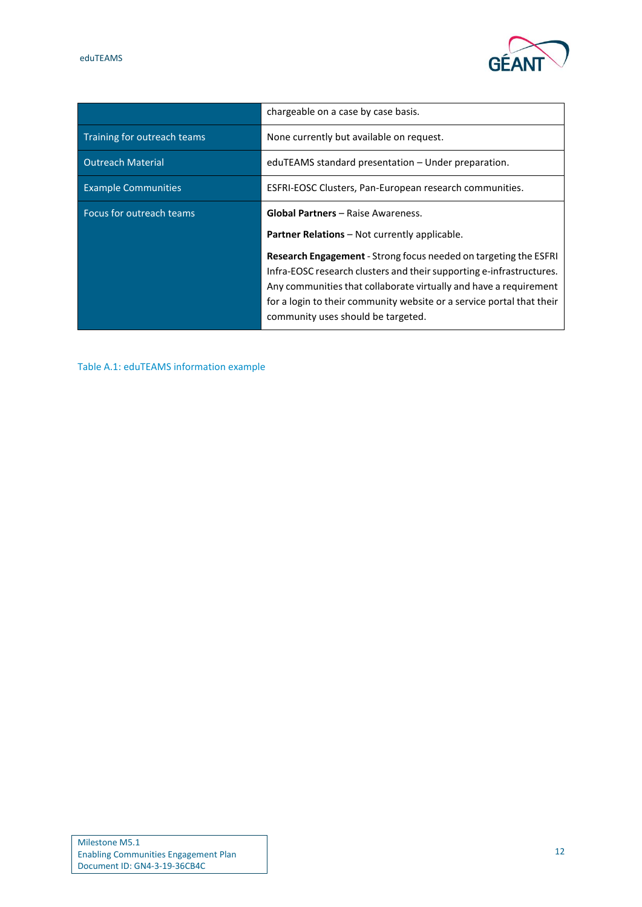|                             | chargeable on a case by case basis.                                                                                                                                                                                                                                                                                                 |
|-----------------------------|-------------------------------------------------------------------------------------------------------------------------------------------------------------------------------------------------------------------------------------------------------------------------------------------------------------------------------------|
| Training for outreach teams | None currently but available on request.                                                                                                                                                                                                                                                                                            |
| <b>Outreach Material</b>    | eduTEAMS standard presentation – Under preparation.                                                                                                                                                                                                                                                                                 |
| <b>Example Communities</b>  | ESFRI-EOSC Clusters, Pan-European research communities.                                                                                                                                                                                                                                                                             |
| Focus for outreach teams    | <b>Global Partners</b> – Raise Awareness.                                                                                                                                                                                                                                                                                           |
|                             | <b>Partner Relations - Not currently applicable.</b>                                                                                                                                                                                                                                                                                |
|                             | <b>Research Engagement</b> - Strong focus needed on targeting the ESFRI<br>Infra-EOSC research clusters and their supporting e-infrastructures.<br>Any communities that collaborate virtually and have a requirement<br>for a login to their community website or a service portal that their<br>community uses should be targeted. |

<span id="page-13-0"></span>Table A.1: eduTEAMS information example